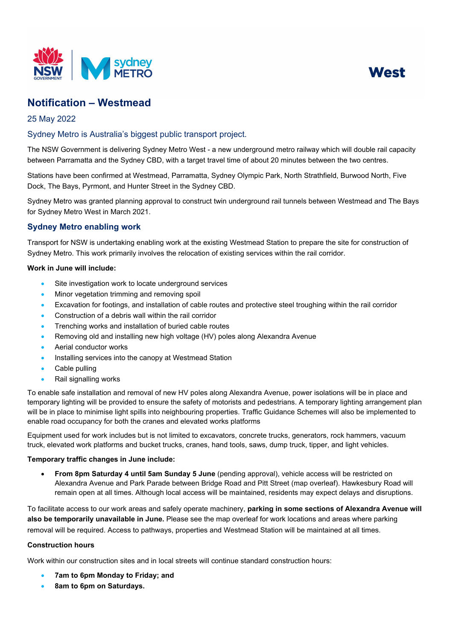



# **Notification – Westmead**

## 25 May 2022

## Sydney Metro is Australia's biggest public transport project.

The NSW Government is delivering Sydney Metro West - a new underground metro railway which will double rail capacity between Parramatta and the Sydney CBD, with a target travel time of about 20 minutes between the two centres.

Stations have been confirmed at Westmead, Parramatta, Sydney Olympic Park, North Strathfield, Burwood North, Five Dock, The Bays, Pyrmont, and Hunter Street in the Sydney CBD.

Sydney Metro was granted planning approval to construct twin underground rail tunnels between Westmead and The Bays for Sydney Metro West in March 2021.

## **Sydney Metro enabling work**

Transport for NSW is undertaking enabling work at the existing Westmead Station to prepare the site for construction of Sydney Metro. This work primarily involves the relocation of existing services within the rail corridor.

### **Work in June will include:**

- Site investigation work to locate underground services
- Minor vegetation trimming and removing spoil
- Excavation for footings, and installation of cable routes and protective steel troughing within the rail corridor
- Construction of a debris wall within the rail corridor
- Trenching works and installation of buried cable routes
- Removing old and installing new high voltage (HV) poles along Alexandra Avenue
- Aerial conductor works
- Installing services into the canopy at Westmead Station
- Cable pulling
- Rail signalling works

To enable safe installation and removal of new HV poles along Alexandra Avenue, power isolations will be in place and temporary lighting will be provided to ensure the safety of motorists and pedestrians. A temporary lighting arrangement plan will be in place to minimise light spills into neighbouring properties. Traffic Guidance Schemes will also be implemented to enable road occupancy for both the cranes and elevated works platforms

Equipment used for work includes but is not limited to excavators, concrete trucks, generators, rock hammers, vacuum truck, elevated work platforms and bucket trucks, cranes, hand tools, saws, dump truck, tipper, and light vehicles.

#### **Temporary traffic changes in June include:**

• **From 8pm Saturday 4 until 5am Sunday 5 June** (pending approval), vehicle access will be restricted on Alexandra Avenue and Park Parade between Bridge Road and Pitt Street (map overleaf). Hawkesbury Road will remain open at all times. Although local access will be maintained, residents may expect delays and disruptions.

To facilitate access to our work areas and safely operate machinery, **parking in some sections of Alexandra Avenue will also be temporarily unavailable in June.** Please see the map overleaf for work locations and areas where parking removal will be required. Access to pathways, properties and Westmead Station will be maintained at all times.

#### **Construction hours**

Work within our construction sites and in local streets will continue standard construction hours:

- **7am to 6pm Monday to Friday; and**
- **8am to 6pm on Saturdays.**